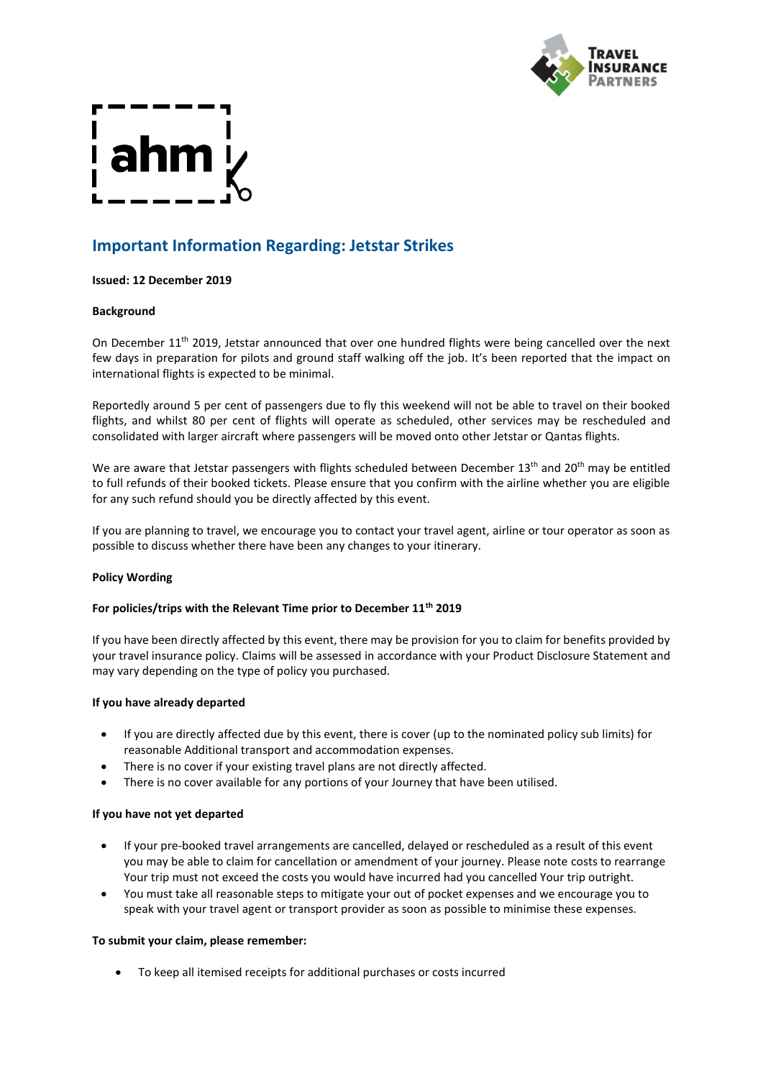

# **Important Information Regarding: Jetstar Strikes**

## **Issued: 12 December 2019**

## **Background**

On December 11<sup>th</sup> 2019, Jetstar announced that over one hundred flights were being cancelled over the next few days in preparation for pilots and ground staff walking off the job. It's been reported that the impact on international flights is expected to be minimal.

Reportedly around 5 per cent of passengers due to fly this weekend will not be able to travel on their booked flights, and whilst 80 per cent of flights will operate as scheduled, other services may be rescheduled and consolidated with larger aircraft where passengers will be moved onto other Jetstar or Qantas flights.

We are aware that Jetstar passengers with flights scheduled between December 13<sup>th</sup> and 20<sup>th</sup> may be entitled to full refunds of their booked tickets. Please ensure that you confirm with the airline whether you are eligible for any such refund should you be directly affected by this event.

If you are planning to travel, we encourage you to contact your travel agent, airline or tour operator as soon as possible to discuss whether there have been any changes to your itinerary.

## **Policy Wording**

## **For policies/trips with the Relevant Time prior to December 11th 2019**

If you have been directly affected by this event, there may be provision for you to claim for benefits provided by your travel insurance policy. Claims will be assessed in accordance with your Product Disclosure Statement and may vary depending on the type of policy you purchased.

## **If you have already departed**

- If you are directly affected due by this event, there is cover (up to the nominated policy sub limits) for reasonable Additional transport and accommodation expenses.
- There is no cover if your existing travel plans are not directly affected.
- There is no cover available for any portions of your Journey that have been utilised.

## **If you have not yet departed**

- If your pre-booked travel arrangements are cancelled, delayed or rescheduled as a result of this event you may be able to claim for cancellation or amendment of your journey. Please note costs to rearrange Your trip must not exceed the costs you would have incurred had you cancelled Your trip outright.
- You must take all reasonable steps to mitigate your out of pocket expenses and we encourage you to speak with your travel agent or transport provider as soon as possible to minimise these expenses.

## **To submit your claim, please remember:**

• To keep all itemised receipts for additional purchases or costs incurred